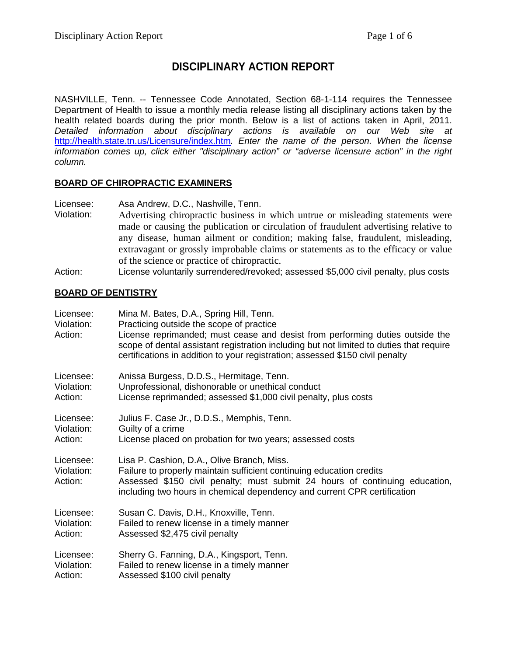# **DISCIPLINARY ACTION REPORT**

NASHVILLE, Tenn. -- Tennessee Code Annotated, Section 68-1-114 requires the Tennessee Department of Health to issue a monthly media release listing all disciplinary actions taken by the health related boards during the prior month. Below is a list of actions taken in April, 2011. *Detailed information about disciplinary actions is available on our Web site at*  <http://health.state.tn.us/Licensure/index.htm>*. Enter the name of the person. When the license information comes up, click either "disciplinary action" or "adverse licensure action" in the right column.* 

#### **BOARD OF CHIROPRACTIC EXAMINERS**

- Licensee: Asa Andrew, D.C., Nashville, Tenn.<br>Violation: Advertising chiropractic business in Advertising chiropractic business in which untrue or misleading statements were made or causing the publication or circulation of fraudulent advertising relative to any disease, human ailment or condition; making false, fraudulent, misleading, extravagant or grossly improbable claims or statements as to the efficacy or value of the science or practice of chiropractic.
- Action: License voluntarily surrendered/revoked; assessed \$5,000 civil penalty, plus costs

### **BOARD OF DENTISTRY**

| Licensee:<br>Violation:<br>Action: | Mina M. Bates, D.A., Spring Hill, Tenn.<br>Practicing outside the scope of practice<br>License reprimanded; must cease and desist from performing duties outside the<br>scope of dental assistant registration including but not limited to duties that require<br>certifications in addition to your registration; assessed \$150 civil penalty |  |
|------------------------------------|--------------------------------------------------------------------------------------------------------------------------------------------------------------------------------------------------------------------------------------------------------------------------------------------------------------------------------------------------|--|
| Licensee:                          | Anissa Burgess, D.D.S., Hermitage, Tenn.                                                                                                                                                                                                                                                                                                         |  |
| Violation:                         | Unprofessional, dishonorable or unethical conduct                                                                                                                                                                                                                                                                                                |  |
| Action:                            | License reprimanded; assessed \$1,000 civil penalty, plus costs                                                                                                                                                                                                                                                                                  |  |
| Licensee:                          | Julius F. Case Jr., D.D.S., Memphis, Tenn.                                                                                                                                                                                                                                                                                                       |  |
| Violation:                         | Guilty of a crime                                                                                                                                                                                                                                                                                                                                |  |
| Action:                            | License placed on probation for two years; assessed costs                                                                                                                                                                                                                                                                                        |  |
| Licensee:<br>Violation:<br>Action: | Lisa P. Cashion, D.A., Olive Branch, Miss.<br>Failure to properly maintain sufficient continuing education credits<br>Assessed \$150 civil penalty; must submit 24 hours of continuing education,<br>including two hours in chemical dependency and current CPR certification                                                                    |  |
| Licensee:                          | Susan C. Davis, D.H., Knoxville, Tenn.                                                                                                                                                                                                                                                                                                           |  |
| Violation:                         | Failed to renew license in a timely manner                                                                                                                                                                                                                                                                                                       |  |
| Action:                            | Assessed \$2,475 civil penalty                                                                                                                                                                                                                                                                                                                   |  |
| Licensee:                          | Sherry G. Fanning, D.A., Kingsport, Tenn.                                                                                                                                                                                                                                                                                                        |  |
| Violation:                         | Failed to renew license in a timely manner                                                                                                                                                                                                                                                                                                       |  |
| Action:                            | Assessed \$100 civil penalty                                                                                                                                                                                                                                                                                                                     |  |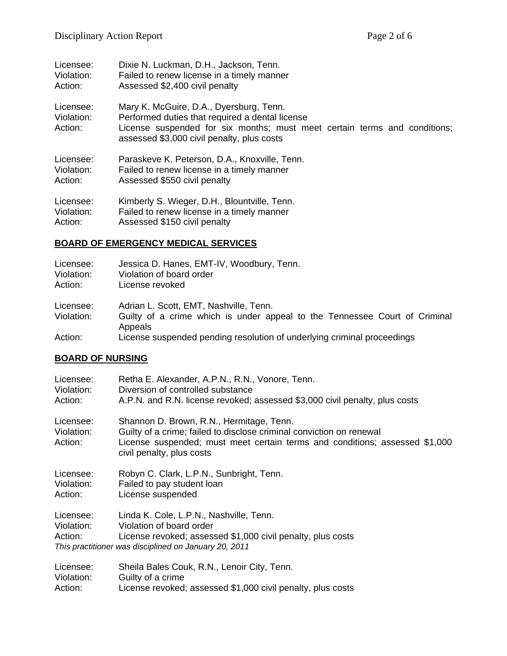| Licensee:                          | Dixie N. Luckman, D.H., Jackson, Tenn.                                                                                                                                                                                |
|------------------------------------|-----------------------------------------------------------------------------------------------------------------------------------------------------------------------------------------------------------------------|
| Violation:                         | Failed to renew license in a timely manner                                                                                                                                                                            |
| Action:                            | Assessed \$2,400 civil penalty                                                                                                                                                                                        |
| Licensee:<br>Violation:<br>Action: | Mary K. McGuire, D.A., Dyersburg, Tenn.<br>Performed duties that required a dental license<br>License suspended for six months; must meet certain terms and conditions;<br>assessed \$3,000 civil penalty, plus costs |
| Licensee:                          | Paraskeve K. Peterson, D.A., Knoxville, Tenn.                                                                                                                                                                         |
| Violation:                         | Failed to renew license in a timely manner                                                                                                                                                                            |
| Action:                            | Assessed \$550 civil penalty                                                                                                                                                                                          |
| Licensee:                          | Kimberly S. Wieger, D.H., Blountville, Tenn.                                                                                                                                                                          |
| Violation:                         | Failed to renew license in a timely manner                                                                                                                                                                            |
| Action:                            | Assessed \$150 civil penalty                                                                                                                                                                                          |

### **BOARD OF EMERGENCY MEDICAL SERVICES**

| Licensee:<br>Violation:<br>Action: | Jessica D. Hanes, EMT-IV, Woodbury, Tenn.<br>Violation of board order<br>License revoked |
|------------------------------------|------------------------------------------------------------------------------------------|
| Licensee:                          | Adrian L. Scott, EMT, Nashville, Tenn.                                                   |
| Violation:                         | Guilty of a crime which is under appeal to the Tennessee Court of Criminal<br>Appeals    |
| Action:                            | License suspended pending resolution of underlying criminal proceedings                  |

### **BOARD OF NURSING**

| Licensee:                          | Retha E. Alexander, A.P.N., R.N., Vonore, Tenn.                                                                                                                                                                              |
|------------------------------------|------------------------------------------------------------------------------------------------------------------------------------------------------------------------------------------------------------------------------|
| Violation:                         | Diversion of controlled substance                                                                                                                                                                                            |
| Action:                            | A.P.N. and R.N. license revoked; assessed \$3,000 civil penalty, plus costs                                                                                                                                                  |
| Licensee:<br>Violation:<br>Action: | Shannon D. Brown, R.N., Hermitage, Tenn.<br>Guilty of a crime; failed to disclose criminal conviction on renewal<br>License suspended; must meet certain terms and conditions; assessed \$1,000<br>civil penalty, plus costs |
| Licensee:                          | Robyn C. Clark, L.P.N., Sunbright, Tenn.                                                                                                                                                                                     |
| Violation:                         | Failed to pay student loan                                                                                                                                                                                                   |
| Action:                            | License suspended                                                                                                                                                                                                            |
| Licensee:<br>Violation:<br>Action: | Linda K. Cole, L.P.N., Nashville, Tenn.<br>Violation of board order<br>License revoked; assessed \$1,000 civil penalty, plus costs<br>This practitioner was disciplined on January 20, 2011                                  |
| Licensee:                          | Sheila Bales Couk, R.N., Lenoir City, Tenn.                                                                                                                                                                                  |
| Violation:                         | Guilty of a crime                                                                                                                                                                                                            |
| Action:                            | License revoked; assessed \$1,000 civil penalty, plus costs                                                                                                                                                                  |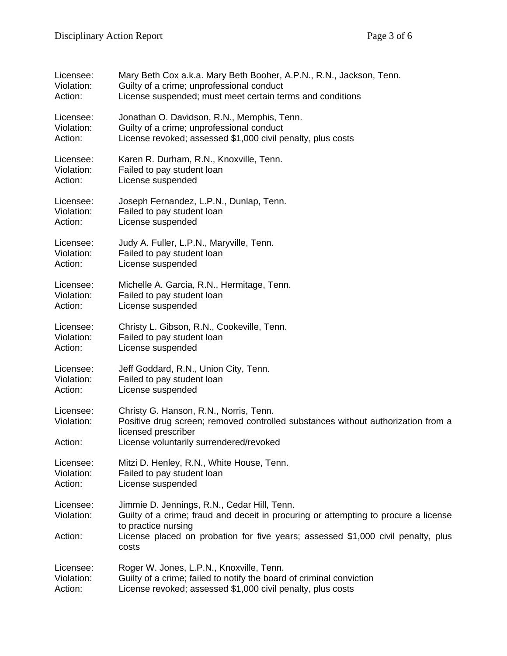| Licensee:                          | Mary Beth Cox a.k.a. Mary Beth Booher, A.P.N., R.N., Jackson, Tenn.                                                                                                                                                                                    |
|------------------------------------|--------------------------------------------------------------------------------------------------------------------------------------------------------------------------------------------------------------------------------------------------------|
| Violation:                         | Guilty of a crime; unprofessional conduct                                                                                                                                                                                                              |
| Action:                            | License suspended; must meet certain terms and conditions                                                                                                                                                                                              |
| Licensee:                          | Jonathan O. Davidson, R.N., Memphis, Tenn.                                                                                                                                                                                                             |
| Violation:                         | Guilty of a crime; unprofessional conduct                                                                                                                                                                                                              |
| Action:                            | License revoked; assessed \$1,000 civil penalty, plus costs                                                                                                                                                                                            |
| Licensee:                          | Karen R. Durham, R.N., Knoxville, Tenn.                                                                                                                                                                                                                |
| Violation:                         | Failed to pay student loan                                                                                                                                                                                                                             |
| Action:                            | License suspended                                                                                                                                                                                                                                      |
| Licensee:                          | Joseph Fernandez, L.P.N., Dunlap, Tenn.                                                                                                                                                                                                                |
| Violation:                         | Failed to pay student loan                                                                                                                                                                                                                             |
| Action:                            | License suspended                                                                                                                                                                                                                                      |
| Licensee:                          | Judy A. Fuller, L.P.N., Maryville, Tenn.                                                                                                                                                                                                               |
| Violation:                         | Failed to pay student loan                                                                                                                                                                                                                             |
| Action:                            | License suspended                                                                                                                                                                                                                                      |
| Licensee:                          | Michelle A. Garcia, R.N., Hermitage, Tenn.                                                                                                                                                                                                             |
| Violation:                         | Failed to pay student loan                                                                                                                                                                                                                             |
| Action:                            | License suspended                                                                                                                                                                                                                                      |
| Licensee:                          | Christy L. Gibson, R.N., Cookeville, Tenn.                                                                                                                                                                                                             |
| Violation:                         | Failed to pay student loan                                                                                                                                                                                                                             |
| Action:                            | License suspended                                                                                                                                                                                                                                      |
| Licensee:                          | Jeff Goddard, R.N., Union City, Tenn.                                                                                                                                                                                                                  |
| Violation:                         | Failed to pay student loan                                                                                                                                                                                                                             |
| Action:                            | License suspended                                                                                                                                                                                                                                      |
| Licensee:<br>Violation:<br>Action: | Christy G. Hanson, R.N., Norris, Tenn.<br>Positive drug screen; removed controlled substances without authorization from a<br>licensed prescriber<br>License voluntarily surrendered/revoked                                                           |
| Licensee:                          | Mitzi D. Henley, R.N., White House, Tenn.                                                                                                                                                                                                              |
| Violation:                         | Failed to pay student loan                                                                                                                                                                                                                             |
| Action:                            | License suspended                                                                                                                                                                                                                                      |
| Licensee:<br>Violation:<br>Action: | Jimmie D. Jennings, R.N., Cedar Hill, Tenn.<br>Guilty of a crime; fraud and deceit in procuring or attempting to procure a license<br>to practice nursing<br>License placed on probation for five years; assessed \$1,000 civil penalty, plus<br>costs |
| Licensee:                          | Roger W. Jones, L.P.N., Knoxville, Tenn.                                                                                                                                                                                                               |
| Violation:                         | Guilty of a crime; failed to notify the board of criminal conviction                                                                                                                                                                                   |
| Action:                            | License revoked; assessed \$1,000 civil penalty, plus costs                                                                                                                                                                                            |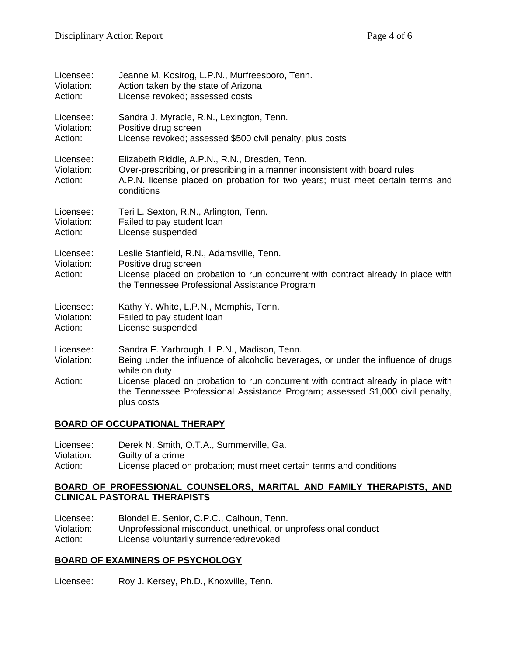| Licensee:                          | Jeanne M. Kosirog, L.P.N., Murfreesboro, Tenn.                                                                                                                                                                              |  |
|------------------------------------|-----------------------------------------------------------------------------------------------------------------------------------------------------------------------------------------------------------------------------|--|
| Violation:                         | Action taken by the state of Arizona                                                                                                                                                                                        |  |
| Action:                            | License revoked; assessed costs                                                                                                                                                                                             |  |
| Licensee:                          | Sandra J. Myracle, R.N., Lexington, Tenn.                                                                                                                                                                                   |  |
| Violation:                         | Positive drug screen                                                                                                                                                                                                        |  |
| Action:                            | License revoked; assessed \$500 civil penalty, plus costs                                                                                                                                                                   |  |
| Licensee:<br>Violation:<br>Action: | Elizabeth Riddle, A.P.N., R.N., Dresden, Tenn.<br>Over-prescribing, or prescribing in a manner inconsistent with board rules<br>A.P.N. license placed on probation for two years; must meet certain terms and<br>conditions |  |
| Licensee:                          | Teri L. Sexton, R.N., Arlington, Tenn.                                                                                                                                                                                      |  |
| Violation:                         | Failed to pay student loan                                                                                                                                                                                                  |  |
| Action:                            | License suspended                                                                                                                                                                                                           |  |
| Licensee:<br>Violation:<br>Action: | Leslie Stanfield, R.N., Adamsville, Tenn.<br>Positive drug screen<br>License placed on probation to run concurrent with contract already in place with<br>the Tennessee Professional Assistance Program                     |  |
| Licensee:                          | Kathy Y. White, L.P.N., Memphis, Tenn.                                                                                                                                                                                      |  |
| Violation:                         | Failed to pay student loan                                                                                                                                                                                                  |  |
| Action:                            | License suspended                                                                                                                                                                                                           |  |
| Licensee:<br>Violation:            | Sandra F. Yarbrough, L.P.N., Madison, Tenn.<br>Being under the influence of alcoholic beverages, or under the influence of drugs<br>while on duty                                                                           |  |
| Action:                            | License placed on probation to run concurrent with contract already in place with<br>the Tennessee Professional Assistance Program; assessed \$1,000 civil penalty,<br>plus costs                                           |  |

### **BOARD OF OCCUPATIONAL THERAPY**

| Licensee:  | Derek N. Smith, O.T.A., Summerville, Ga.                            |
|------------|---------------------------------------------------------------------|
| Violation: | Guilty of a crime                                                   |
| Action:    | License placed on probation; must meet certain terms and conditions |

#### **BOARD OF PROFESSIONAL COUNSELORS, MARITAL AND FAMILY THERAPISTS, AND CLINICAL PASTORAL THERAPISTS**

| Licensee:  | Blondel E. Senior, C.P.C., Calhoun, Tenn.                       |
|------------|-----------------------------------------------------------------|
| Violation: | Unprofessional misconduct, unethical, or unprofessional conduct |
| Action:    | License voluntarily surrendered/revoked                         |

#### **BOARD OF EXAMINERS OF PSYCHOLOGY**

Licensee: Roy J. Kersey, Ph.D., Knoxville, Tenn.